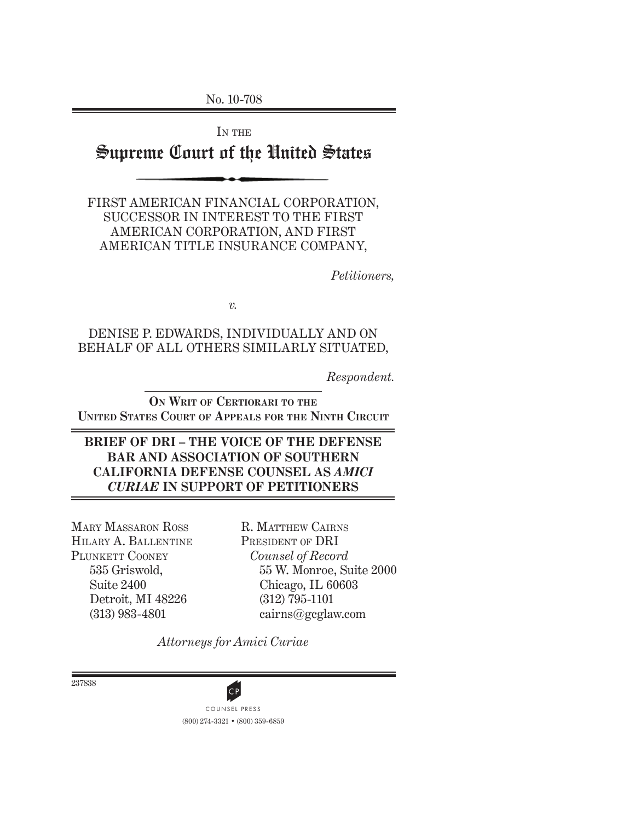No. 10-708

IN THE

# Supreme Court of the United States

FIRST AMERICAN FINANCIAL CORPORATION, SUCCESSOR IN INTEREST TO THE FIRST AMERICAN CORPORATION, AND FIRST AMERICAN TITLE INSURANCE COMPANY,

*Petitioners,*

*v.*

#### DENISE P. EDWARDS, INDIVIDUALLY AND ON BEHALF OF ALL OTHERS SIMILARLY SITUATED,

*Respondent.*

**ON WRIT OF CERTIORARI TO THE UNITED STATES COURT OF APPEALS FOR THE NINTH CIRCUIT**

#### **BRIEF OF DRI – THE VOICE OF THE DEFENSE BAR AND ASSOCIATION OF SOUTHERN CALIFORNIA DEFENSE COUNSEL AS** *AMICI CURIAE* **IN SUPPORT OF PETITIONERS**

MARY MASSARON ROSS HILARY A. BALLENTINE PLUNKETT COONEY 535 Griswold, Suite 2400 Detroit, MI 48226 (313) 983-4801

R. MATTHEW CAIRNS PRESIDENT OF DRI *Counsel of Record* 55 W. Monroe, Suite 2000 Chicago, IL 60603 (312) 795-1101 cairns@gcglaw.com

*Attorneys for Amici Curiae*

237838

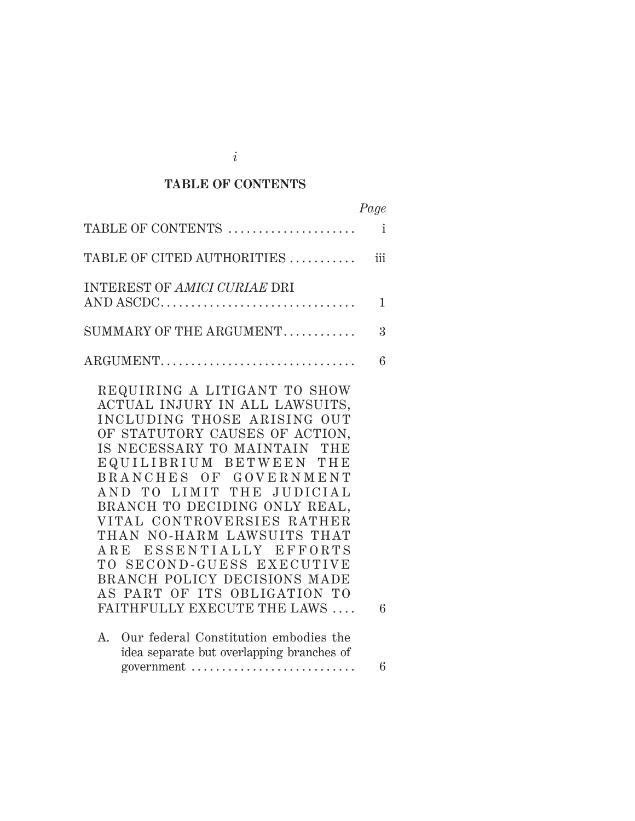# **TABLE OF CONTENTS**

*i*

|                                                                                                                                                                                                                                                                                                                                                                                                                                                                                                                                                           | Page         |
|-----------------------------------------------------------------------------------------------------------------------------------------------------------------------------------------------------------------------------------------------------------------------------------------------------------------------------------------------------------------------------------------------------------------------------------------------------------------------------------------------------------------------------------------------------------|--------------|
| TABLE OF CONTENTS                                                                                                                                                                                                                                                                                                                                                                                                                                                                                                                                         | $\mathbf{i}$ |
| TABLE OF CITED AUTHORITIES                                                                                                                                                                                                                                                                                                                                                                                                                                                                                                                                | iii          |
| <b>INTEREST OF AMICI CURIAE DRI</b><br>AND ASCDC                                                                                                                                                                                                                                                                                                                                                                                                                                                                                                          | 1            |
| SUMMARY OF THE ARGUMENT                                                                                                                                                                                                                                                                                                                                                                                                                                                                                                                                   | 3            |
| ARGUMENT                                                                                                                                                                                                                                                                                                                                                                                                                                                                                                                                                  | 6            |
| REQUIRING A LITIGANT TO SHOW<br>ACTUAL INJURY IN ALL LAWSUITS,<br>INCLUDING THOSE ARISING OUT<br>OF STATUTORY CAUSES OF ACTION,<br>IS NECESSARY TO MAINTAIN THE<br>EQUILIBRIUM BETWEEN THE<br>BRANCHES OF GOVERNMENT<br>AND TO LIMIT THE JUDICIAL<br>BRANCH TO DECIDING ONLY REAL,<br>VITAL CONTROVERSIES RATHER<br>THAN NO-HARM LAWSUITS THAT<br>ARE ESSENTIALLY EFFORTS<br>TO SECOND-GUESS EXECUTIVE<br>BRANCH POLICY DECISIONS MADE<br>AS PART OF ITS OBLIGATION TO<br>FAITHFULLY EXECUTE THE LAWS<br>Our federal Constitution embodies the<br>$A_{-}$ | 6            |
| idea separate but overlapping branches of                                                                                                                                                                                                                                                                                                                                                                                                                                                                                                                 |              |

government . . . . . . . . . . . . . . . . . . . . . . . . . . . 6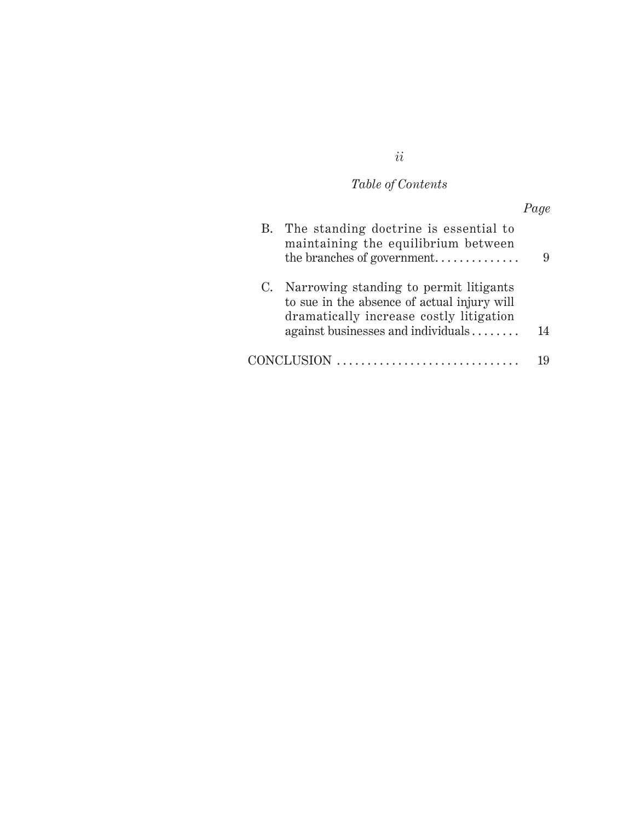# *Table of Contents*

|             | B. The standing doctrine is essential to<br>maintaining the equilibrium between<br>the branches of government                    |    |
|-------------|----------------------------------------------------------------------------------------------------------------------------------|----|
| $C_{\star}$ | Narrowing standing to permit litigants<br>to sue in the absence of actual injury will<br>dramatically increase costly litigation |    |
|             | against businesses and individuals                                                                                               | 14 |
|             | CONCLUSION                                                                                                                       |    |

# *ii*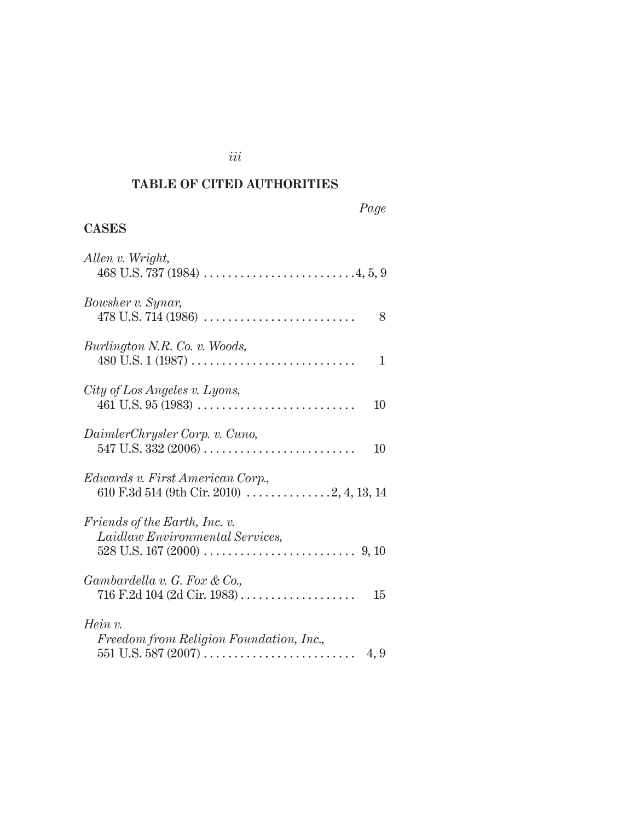# **TABLE OF CITED AUTHORITIES**

## *Page*

# **CASES**

| Allen v. Wright,                                                 |
|------------------------------------------------------------------|
| Bowsher v. Synar,<br>8                                           |
| Burlington N.R. Co. v. Woods,<br>1                               |
| City of Los Angeles v. Lyons,<br>10                              |
| DaimlerChrysler Corp. v. Cuno,<br>10                             |
| Edwards v. First American Corp.,                                 |
| Friends of the Earth, Inc. v.<br>Laidlaw Environmental Services, |
| Gambardella v. G. Fox & Co.,<br>15                               |
| $Hein v$ .<br>Freedom from Religion Foundation, Inc.,<br>4,9     |

## *iii*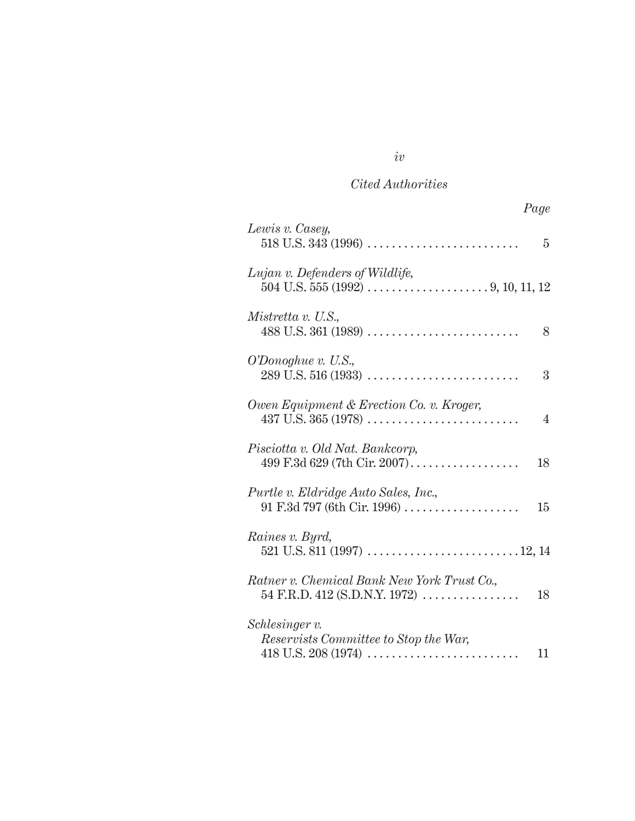*iv*

| Lewis v. Casey,                                                                      | 5  |
|--------------------------------------------------------------------------------------|----|
| Lujan v. Defenders of Wildlife,                                                      |    |
| Mistretta v. U.S.,                                                                   | 8  |
| $O'Donoghue$ v. U.S.,                                                                | 3  |
| Owen Equipment & Erection Co. v. Kroger,<br>$437$ U.S. $365$ (1978)                  | 4  |
| Pisciotta v. Old Nat. Bankcorp,<br>499 F.3d 629 (7th Cir. 2007).                     | 18 |
| Purtle v. Eldridge Auto Sales, Inc.,<br>$91 F.3d 797 (6th Cir. 1996) \ldots$         | 15 |
| Raines v. Byrd,                                                                      |    |
| Ratner v. Chemical Bank New York Trust Co.,<br>54 F.R.D. 412 (S.D.N.Y. 1972) $\dots$ | 18 |
| Schlesinger v.<br>Reservists Committee to Stop the War,                              | 11 |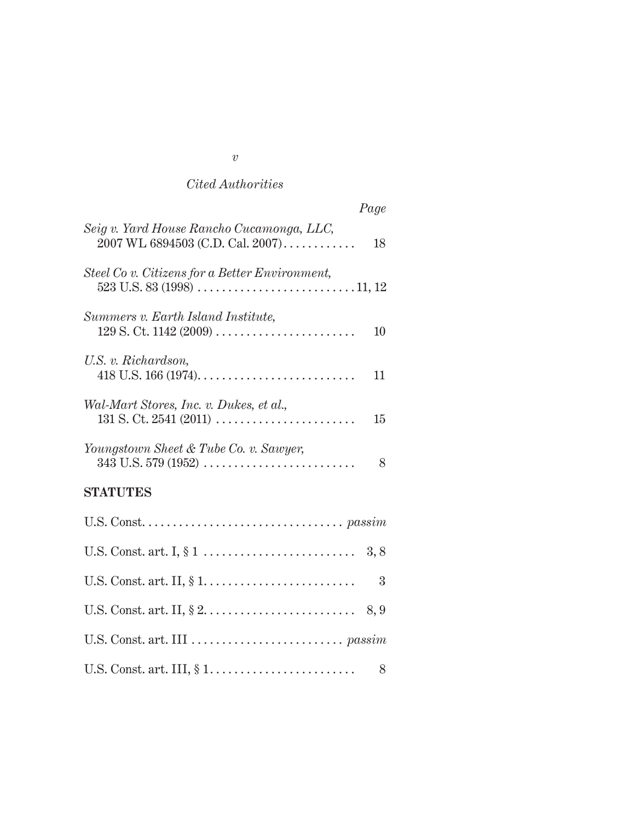| Page                                                                                    |
|-----------------------------------------------------------------------------------------|
| Seig v. Yard House Rancho Cucamonga, LLC,<br>$2007$ WL 6894503 (C.D. Cal. $2007)$<br>18 |
| Steel Co v. Citizens for a Better Environment,                                          |
| Summers v. Earth Island Institute,<br>10                                                |
| U.S. v. Richardson,<br>11                                                               |
| Wal-Mart Stores, Inc. v. Dukes, et al.,<br>$131$ S. Ct. 2541 (2011)<br>15               |
| Youngstown Sheet & Tube Co. v. Sawyer,<br>8                                             |
| <b>STATUTES</b>                                                                         |
|                                                                                         |
|                                                                                         |
| 3                                                                                       |
|                                                                                         |
|                                                                                         |
| 8                                                                                       |

# *v*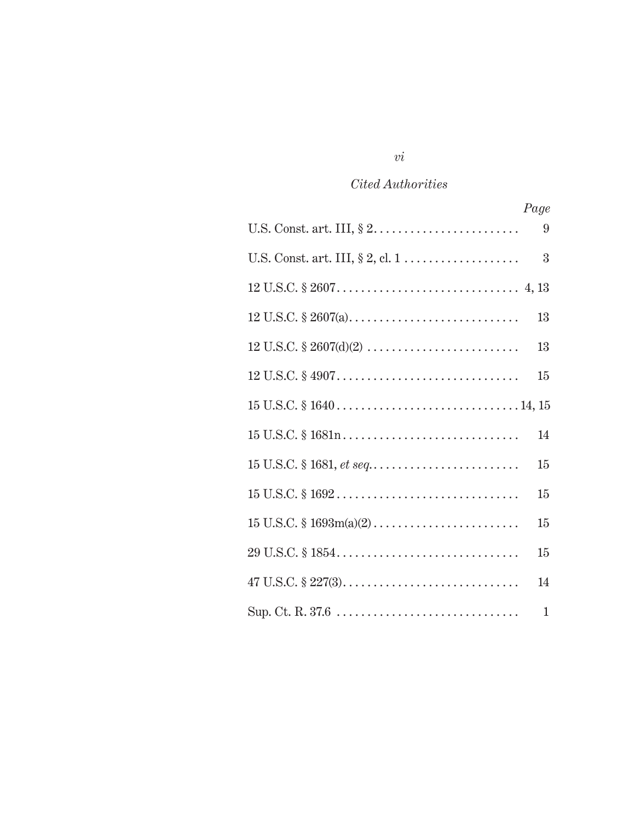|                                                                                                    | Page         |
|----------------------------------------------------------------------------------------------------|--------------|
|                                                                                                    | 9            |
|                                                                                                    | 3            |
|                                                                                                    |              |
|                                                                                                    | 13           |
|                                                                                                    | 13           |
|                                                                                                    | 15           |
|                                                                                                    |              |
|                                                                                                    | 14           |
|                                                                                                    | 15           |
| $15 \text{ U.S.C.} \$ $1692 \ldots \ldots \ldots \ldots \ldots \ldots \ldots \ldots \ldots \ldots$ | $15\,$       |
|                                                                                                    | $15\,$       |
|                                                                                                    | 15           |
| $47 \text{ U.S.C.} \$ $227(3)$                                                                     | 14           |
|                                                                                                    | $\mathbf{1}$ |

## *vi*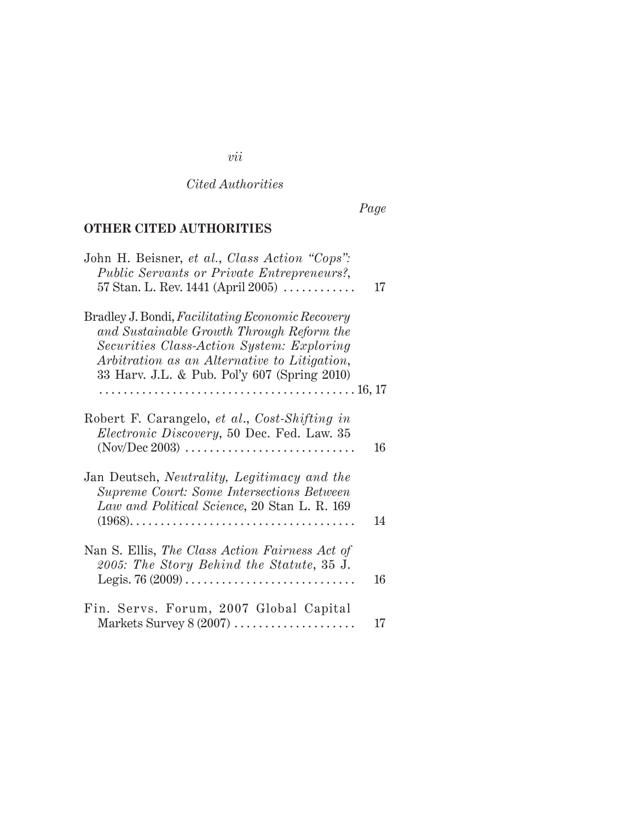# *vii*

*Cited Authorities*

*Page*

# **OTHER CITED AUTHORITIES**

| John H. Beisner, et al., Class Action "Cops":<br>Public Servants or Private Entrepreneurs?,<br>57 Stan. L. Rev. 1441 (April 2005) $\ldots \ldots \ldots$                                                                                   | 17 |
|--------------------------------------------------------------------------------------------------------------------------------------------------------------------------------------------------------------------------------------------|----|
| Bradley J. Bondi, Facilitating Economic Recovery<br>and Sustainable Growth Through Reform the<br>Securities Class-Action System: Exploring<br>Arbitration as an Alternative to Litigation,<br>33 Harv. J.L. & Pub. Pol'y 607 (Spring 2010) |    |
|                                                                                                                                                                                                                                            |    |
| Robert F. Carangelo, et al., Cost-Shifting in<br><i>Electronic Discovery</i> , 50 Dec. Fed. Law. 35                                                                                                                                        | 16 |
| Jan Deutsch, Neutrality, Legitimacy and the<br>Supreme Court: Some Intersections Between<br>Law and Political Science, 20 Stan L. R. 169                                                                                                   | 14 |
| Nan S. Ellis, The Class Action Fairness Act of<br>2005: The Story Behind the Statute, 35 J.                                                                                                                                                | 16 |
| Fin. Servs. Forum, 2007 Global Capital<br>Markets Survey 8 (2007)                                                                                                                                                                          | 17 |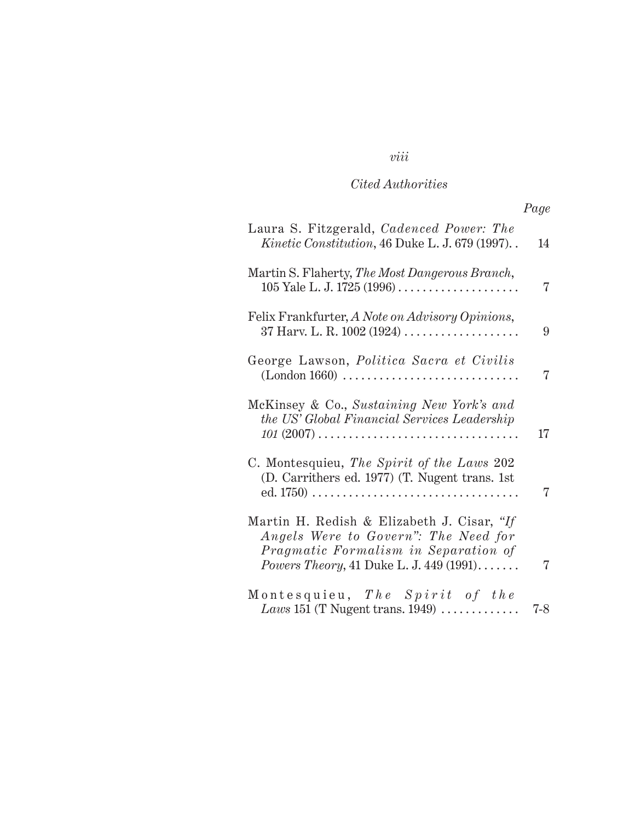*viii*

# *Page*

| Laura S. Fitzgerald, Cadenced Power: The<br><i>Kinetic Constitution</i> , 46 Duke L. J. 679 (1997)                                                                                     | 14  |
|----------------------------------------------------------------------------------------------------------------------------------------------------------------------------------------|-----|
| Martin S. Flaherty, The Most Dangerous Branch,                                                                                                                                         | 7   |
| Felix Frankfurter, A Note on Advisory Opinions,                                                                                                                                        | 9   |
| George Lawson, Politica Sacra et Civilis<br>(London 1660)                                                                                                                              | 7   |
| McKinsey & Co., Sustaining New York's and<br>the US' Global Financial Services Leadership<br>$101 (2007) \ldots \ldots \ldots \ldots \ldots \ldots \ldots \ldots \ldots \ldots \ldots$ | 17  |
| C. Montesquieu, The Spirit of the Laws 202<br>(D. Carrithers ed. 1977) (T. Nugent trans. 1st                                                                                           | 7   |
| Martin H. Redish & Elizabeth J. Cisar, "If<br>Angels Were to Govern": The Need for<br>Pragmatic Formalism in Separation of<br><i>Powers Theory</i> , 41 Duke L. J. 449 (1991)          | 7   |
| Montesquieu, The Spirit of the<br>Laws 151 (T Nugent trans. $1949$ )                                                                                                                   | 7-8 |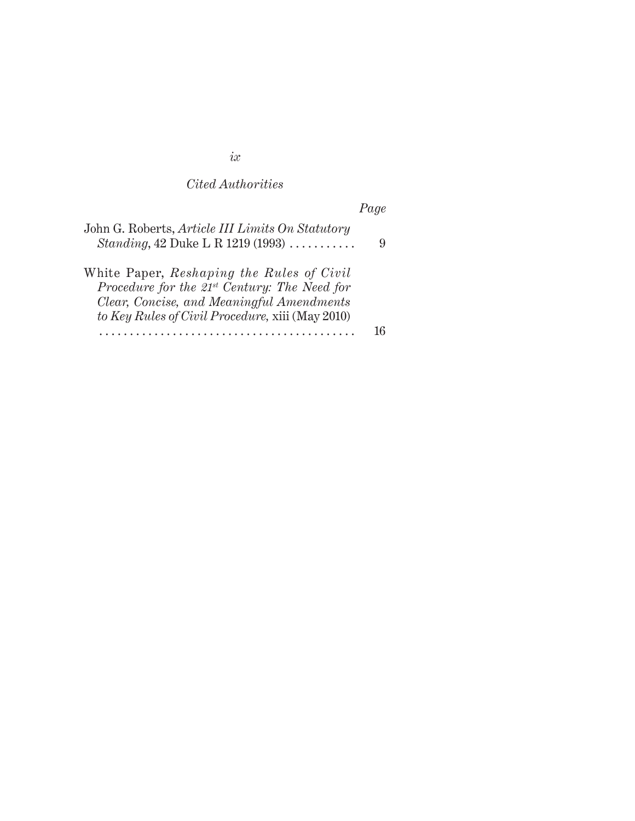*ix*

*Cited Authorities*

|                                                                                                         | Page |
|---------------------------------------------------------------------------------------------------------|------|
| John G. Roberts, Article III Limits On Statutory<br>Standing, 42 Duke L R 1219 (1993) $\dots\dots\dots$ | 9    |
| White Paper, Reshaping the Rules of Civil                                                               |      |
| Procedure for the $21^{st}$ Century: The Need for<br>Clear, Concise, and Meaningful Amendments          |      |
| to Key Rules of Civil Procedure, xiii (May 2010)                                                        |      |
|                                                                                                         |      |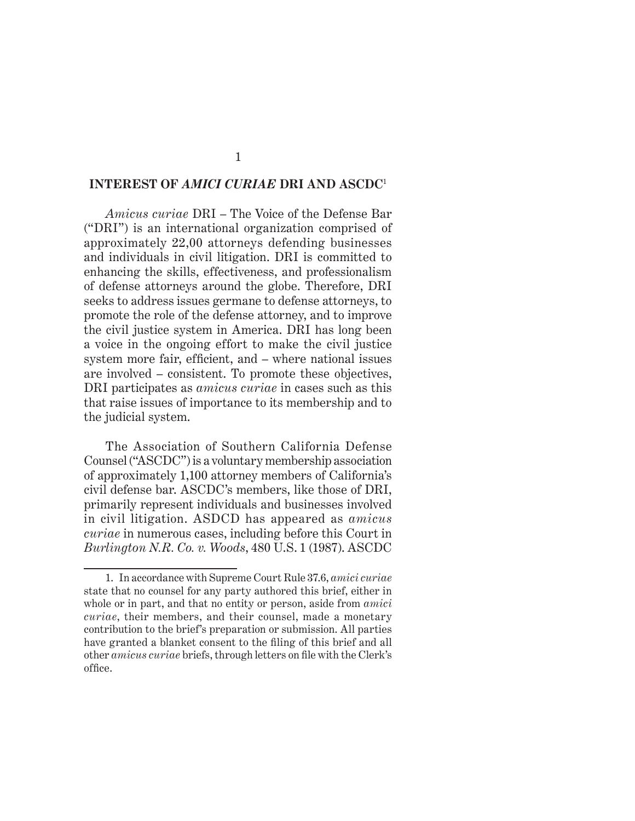#### **INTEREST OF** *AMICI CURIAE* **DRI AND ASCDC**<sup>1</sup>

*Amicus curiae* DRI – The Voice of the Defense Bar ("DRI") is an international organization comprised of approximately 22,00 attorneys defending businesses and individuals in civil litigation. DRI is committed to enhancing the skills, effectiveness, and professionalism of defense attorneys around the globe. Therefore, DRI seeks to address issues germane to defense attorneys, to promote the role of the defense attorney, and to improve the civil justice system in America. DRI has long been a voice in the ongoing effort to make the civil justice system more fair, efficient, and – where national issues are involved – consistent. To promote these objectives, DRI participates as *amicus curiae* in cases such as this that raise issues of importance to its membership and to the judicial system.

The Association of Southern California Defense Counsel ("ASCDC") is a voluntary membership association of approximately 1,100 attorney members of California's civil defense bar. ASCDC's members, like those of DRI, primarily represent individuals and businesses involved in civil litigation. ASDCD has appeared as *amicus curiae* in numerous cases, including before this Court in *Burlington N.R. Co. v. Woods*, 480 U.S. 1 (1987). ASCDC

<sup>1.</sup> In accordance with Supreme Court Rule 37.6, *amici curiae* state that no counsel for any party authored this brief, either in whole or in part, and that no entity or person, aside from *amici curiae*, their members, and their counsel, made a monetary contribution to the brief's preparation or submission. All parties have granted a blanket consent to the filing of this brief and all other *amicus curiae* briefs, through letters on file with the Clerk's office.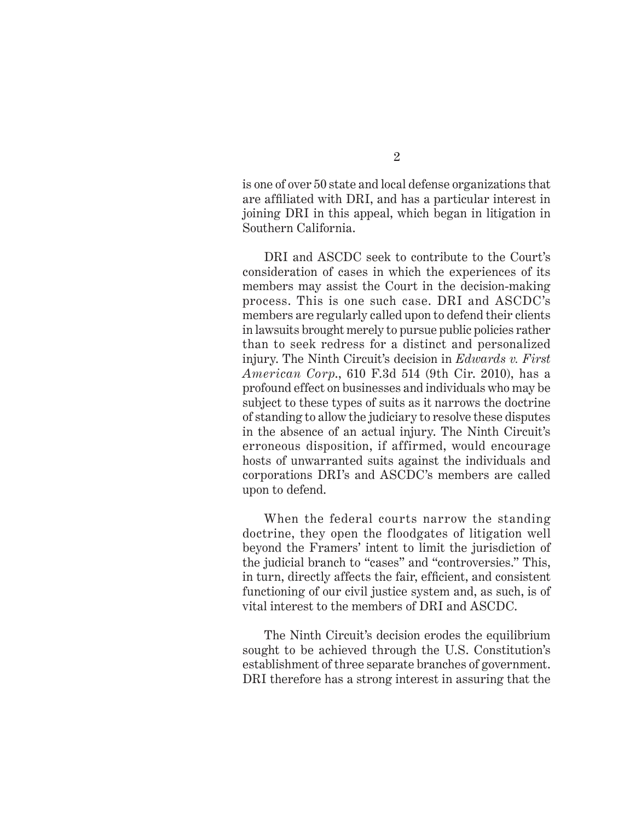is one of over 50 state and local defense organizations that are affiliated with DRI, and has a particular interest in joining DRI in this appeal, which began in litigation in Southern California.

DRI and ASCDC seek to contribute to the Court's consideration of cases in which the experiences of its members may assist the Court in the decision-making process. This is one such case. DRI and ASCDC's members are regularly called upon to defend their clients in lawsuits brought merely to pursue public policies rather than to seek redress for a distinct and personalized injury. The Ninth Circuit's decision in *Edwards v. First American Corp*., 610 F.3d 514 (9th Cir. 2010), has a profound effect on businesses and individuals who may be subject to these types of suits as it narrows the doctrine of standing to allow the judiciary to resolve these disputes in the absence of an actual injury. The Ninth Circuit's erroneous disposition, if affirmed, would encourage hosts of unwarranted suits against the individuals and corporations DRI's and ASCDC's members are called upon to defend.

When the federal courts narrow the standing doctrine, they open the floodgates of litigation well beyond the Framers' intent to limit the jurisdiction of the judicial branch to "cases" and "controversies." This, in turn, directly affects the fair, efficient, and consistent functioning of our civil justice system and, as such, is of vital interest to the members of DRI and ASCDC.

The Ninth Circuit's decision erodes the equilibrium sought to be achieved through the U.S. Constitution's establishment of three separate branches of government. DRI therefore has a strong interest in assuring that the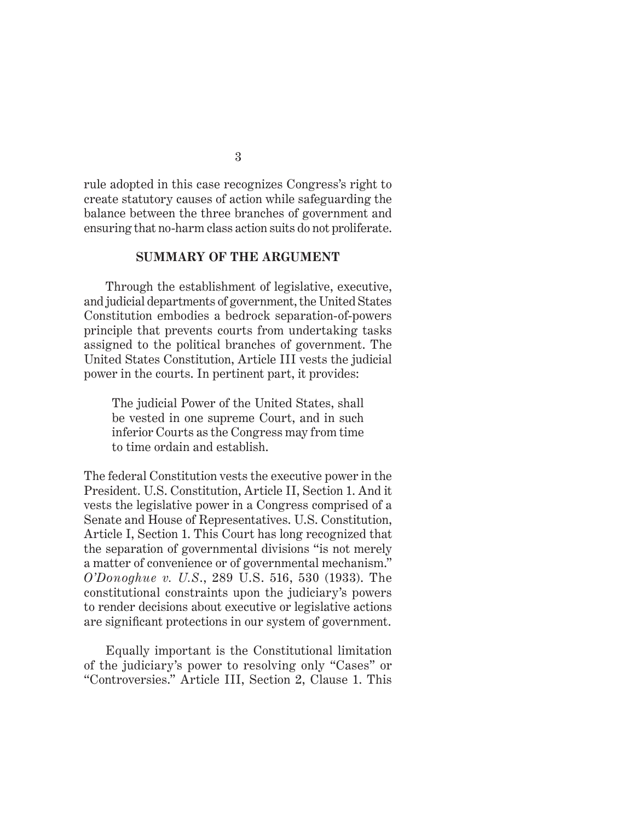rule adopted in this case recognizes Congress's right to create statutory causes of action while safeguarding the balance between the three branches of government and ensuring that no-harm class action suits do not proliferate.

#### **SUMMARY OF THE ARGUMENT**

Through the establishment of legislative, executive, and judicial departments of government, the United States Constitution embodies a bedrock separation-of-powers principle that prevents courts from undertaking tasks assigned to the political branches of government. The United States Constitution, Article III vests the judicial power in the courts. In pertinent part, it provides:

The judicial Power of the United States, shall be vested in one supreme Court, and in such inferior Courts as the Congress may from time to time ordain and establish.

The federal Constitution vests the executive power in the President. U.S. Constitution, Article II, Section 1. And it vests the legislative power in a Congress comprised of a Senate and House of Representatives. U.S. Constitution, Article I, Section 1. This Court has long recognized that the separation of governmental divisions "is not merely a matter of convenience or of governmental mechanism." *O'Donoghue v. U.S*., 289 U.S. 516, 530 (1933). The constitutional constraints upon the judiciary's powers to render decisions about executive or legislative actions are significant protections in our system of government.

Equally important is the Constitutional limitation of the judiciary's power to resolving only "Cases" or "Controversies." Article III, Section 2, Clause 1. This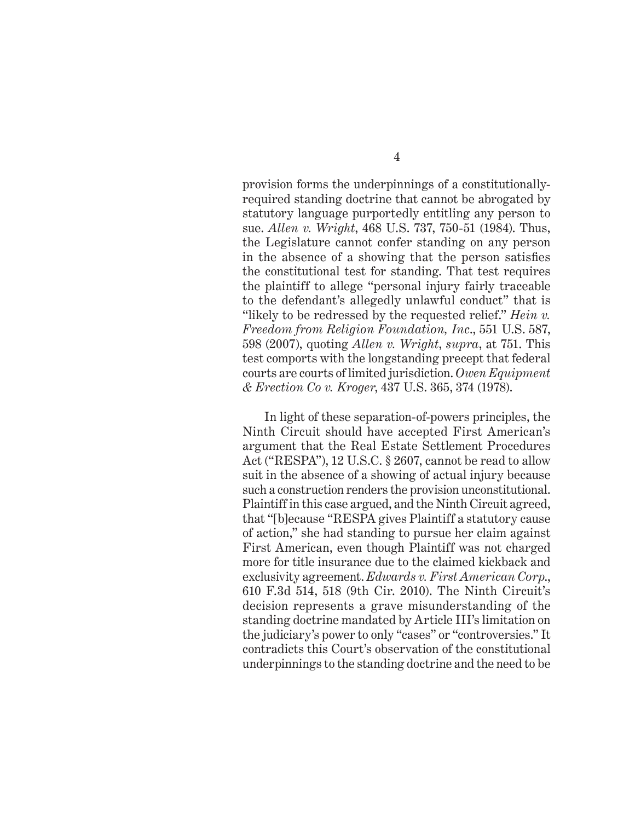provision forms the underpinnings of a constitutionallyrequired standing doctrine that cannot be abrogated by statutory language purportedly entitling any person to sue. *Allen v. Wright*, 468 U.S. 737, 750-51 (1984). Thus, the Legislature cannot confer standing on any person in the absence of a showing that the person satisfies the constitutional test for standing. That test requires the plaintiff to allege "personal injury fairly traceable to the defendant's allegedly unlawful conduct" that is "likely to be redressed by the requested relief." *Hein v. Freedom from Religion Foundation, Inc*., 551 U.S. 587, 598 (2007), quoting *Allen v. Wright*, *supra*, at 751. This test comports with the longstanding precept that federal courts are courts of limited jurisdiction. *Owen Equipment & Erection Co v. Kroger*, 437 U.S. 365, 374 (1978).

In light of these separation-of-powers principles, the Ninth Circuit should have accepted First American's argument that the Real Estate Settlement Procedures Act ("RESPA"), 12 U.S.C. § 2607, cannot be read to allow suit in the absence of a showing of actual injury because such a construction renders the provision unconstitutional. Plaintiff in this case argued, and the Ninth Circuit agreed, that "[b]ecause "RESPA gives Plaintiff a statutory cause of action," she had standing to pursue her claim against First American, even though Plaintiff was not charged more for title insurance due to the claimed kickback and exclusivity agreement. *Edwards v. First American Corp*., 610 F.3d 514, 518 (9th Cir. 2010). The Ninth Circuit's decision represents a grave misunderstanding of the standing doctrine mandated by Article III's limitation on the judiciary's power to only "cases" or "controversies." It contradicts this Court's observation of the constitutional underpinnings to the standing doctrine and the need to be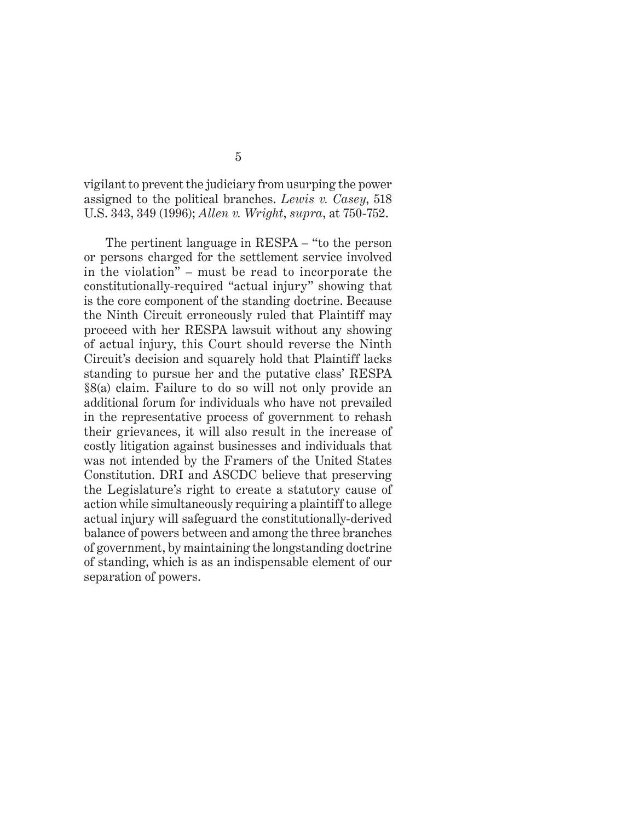vigilant to prevent the judiciary from usurping the power assigned to the political branches. *Lewis v. Casey*, 518 U.S. 343, 349 (1996); *Allen v. Wright*, *supra*, at 750-752.

The pertinent language in RESPA – "to the person or persons charged for the settlement service involved in the violation" – must be read to incorporate the constitutionally-required "actual injury" showing that is the core component of the standing doctrine. Because the Ninth Circuit erroneously ruled that Plaintiff may proceed with her RESPA lawsuit without any showing of actual injury, this Court should reverse the Ninth Circuit's decision and squarely hold that Plaintiff lacks standing to pursue her and the putative class' RESPA §8(a) claim. Failure to do so will not only provide an additional forum for individuals who have not prevailed in the representative process of government to rehash their grievances, it will also result in the increase of costly litigation against businesses and individuals that was not intended by the Framers of the United States Constitution. DRI and ASCDC believe that preserving the Legislature's right to create a statutory cause of action while simultaneously requiring a plaintiff to allege actual injury will safeguard the constitutionally-derived balance of powers between and among the three branches of government, by maintaining the longstanding doctrine of standing, which is as an indispensable element of our separation of powers.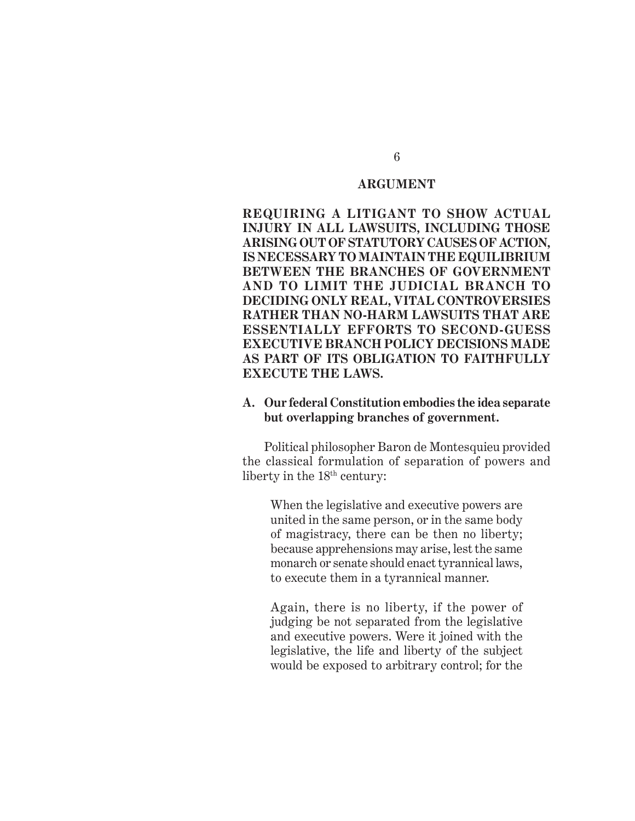#### **ARGUMENT**

**REQUIRING A LITIGANT TO SHOW ACTUAL INJURY IN ALL LAWSUITS, INCLUDING THOSE ARISING OUT OF STATUTORY CAUSES OF ACTION, IS NECESSARY TO MAINTAIN THE EQUILIBRIUM BETWEEN THE BRANCHES OF GOVERNMENT AND TO LIMIT THE JUDICIAL BRANCH TO DECIDING ONLY REAL, VITAL CONTROVERSIES RATHER THAN NO-HARM LAWSUITS THAT ARE ESSENTIALLY EFFORTS TO SECOND-GUESS EXECUTIVE BRANCH POLICY DECISIONS MADE AS PART OF ITS OBLIGATION TO FAITHFULLY EXECUTE THE LAWS.** 

#### **A. Our federal Constitution embodies the idea separate but overlapping branches of government.**

Political philosopher Baron de Montesquieu provided the classical formulation of separation of powers and liberty in the  $18<sup>th</sup>$  century:

When the legislative and executive powers are united in the same person, or in the same body of magistracy, there can be then no liberty; because apprehensions may arise, lest the same monarch or senate should enact tyrannical laws, to execute them in a tyrannical manner.

Again, there is no liberty, if the power of judging be not separated from the legislative and executive powers. Were it joined with the legislative, the life and liberty of the subject would be exposed to arbitrary control; for the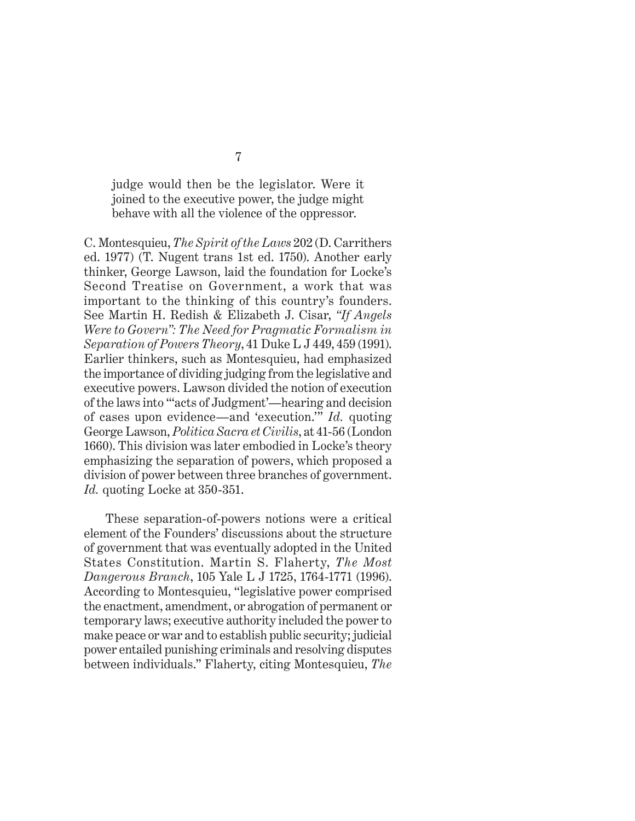judge would then be the legislator. Were it joined to the executive power, the judge might behave with all the violence of the oppressor.

C. Montesquieu, *The Spirit of the Laws* 202 (D. Carrithers ed. 1977) (T. Nugent trans 1st ed. 1750). Another early thinker, George Lawson, laid the foundation for Locke's Second Treatise on Government, a work that was important to the thinking of this country's founders. See Martin H. Redish & Elizabeth J. Cisar, *"If Angels Were to Govern": The Need for Pragmatic Formalism in Separation of Powers Theory*, 41 Duke L J 449, 459 (1991). Earlier thinkers, such as Montesquieu, had emphasized the importance of dividing judging from the legislative and executive powers. Lawson divided the notion of execution of the laws into "'acts of Judgment'—hearing and decision of cases upon evidence—and 'execution.'" *Id.* quoting George Lawson, *Politica Sacra et Civilis*, at 41-56 (London 1660). This division was later embodied in Locke's theory emphasizing the separation of powers, which proposed a division of power between three branches of government. *Id.* quoting Locke at 350-351.

These separation-of-powers notions were a critical element of the Founders' discussions about the structure of government that was eventually adopted in the United States Constitution. Martin S. Flaherty, *The Most Dangerous Branch*, 105 Yale L J 1725, 1764-1771 (1996). According to Montesquieu, "legislative power comprised the enactment, amendment, or abrogation of permanent or temporary laws; executive authority included the power to make peace or war and to establish public security; judicial power entailed punishing criminals and resolving disputes between individuals." Flaherty, citing Montesquieu, *The*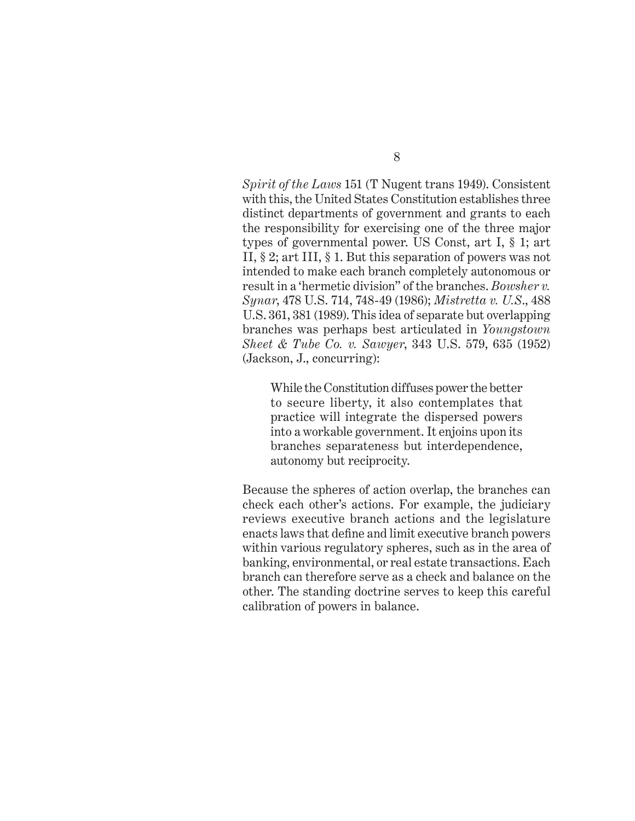*Spirit of the Laws* 151 (T Nugent trans 1949). Consistent with this, the United States Constitution establishes three distinct departments of government and grants to each the responsibility for exercising one of the three major types of governmental power. US Const, art I, § 1; art II, § 2; art III, § 1. But this separation of powers was not intended to make each branch completely autonomous or result in a 'hermetic division" of the branches. *Bowsher v. Synar*, 478 U.S. 714, 748-49 (1986); *Mistretta v. U.S*., 488 U.S. 361, 381 (1989). This idea of separate but overlapping branches was perhaps best articulated in *Youngstown Sheet & Tube Co. v. Sawyer*, 343 U.S. 579, 635 (1952) (Jackson, J., concurring):

While the Constitution diffuses power the better to secure liberty, it also contemplates that practice will integrate the dispersed powers into a workable government. It enjoins upon its branches separateness but interdependence, autonomy but reciprocity.

Because the spheres of action overlap, the branches can check each other's actions. For example, the judiciary reviews executive branch actions and the legislature enacts laws that define and limit executive branch powers within various regulatory spheres, such as in the area of banking, environmental, or real estate transactions. Each branch can therefore serve as a check and balance on the other. The standing doctrine serves to keep this careful calibration of powers in balance.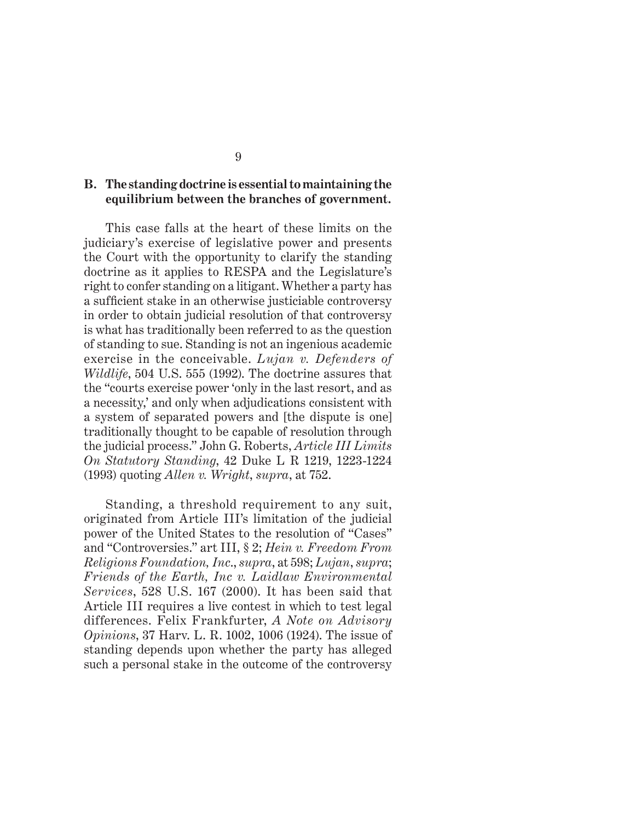#### **B. The standing doctrine is essential to maintaining the equilibrium between the branches of government.**

This case falls at the heart of these limits on the judiciary's exercise of legislative power and presents the Court with the opportunity to clarify the standing doctrine as it applies to RESPA and the Legislature's right to confer standing on a litigant. Whether a party has a sufficient stake in an otherwise justiciable controversy in order to obtain judicial resolution of that controversy is what has traditionally been referred to as the question of standing to sue. Standing is not an ingenious academic exercise in the conceivable. *Lujan v. Defenders of Wildlife*, 504 U.S. 555 (1992). The doctrine assures that the "courts exercise power 'only in the last resort, and as a necessity,' and only when adjudications consistent with a system of separated powers and [the dispute is one] traditionally thought to be capable of resolution through the judicial process." John G. Roberts, *Article III Limits On Statutory Standing*, 42 Duke L R 1219, 1223-1224 (1993) quoting *Allen v. Wright*, *supra*, at 752.

Standing, a threshold requirement to any suit, originated from Article III's limitation of the judicial power of the United States to the resolution of "Cases" and "Controversies." art III, § 2; *Hein v. Freedom From Religions Foundation, Inc*., *supra*, at 598; *Lujan*, *supra*; *Friends of the Earth, Inc v. Laidlaw Environmental Services*, 528 U.S. 167 (2000). It has been said that Article III requires a live contest in which to test legal differences. Felix Frankfurter, *A Note on Advisory Opinions*, 37 Harv. L. R. 1002, 1006 (1924). The issue of standing depends upon whether the party has alleged such a personal stake in the outcome of the controversy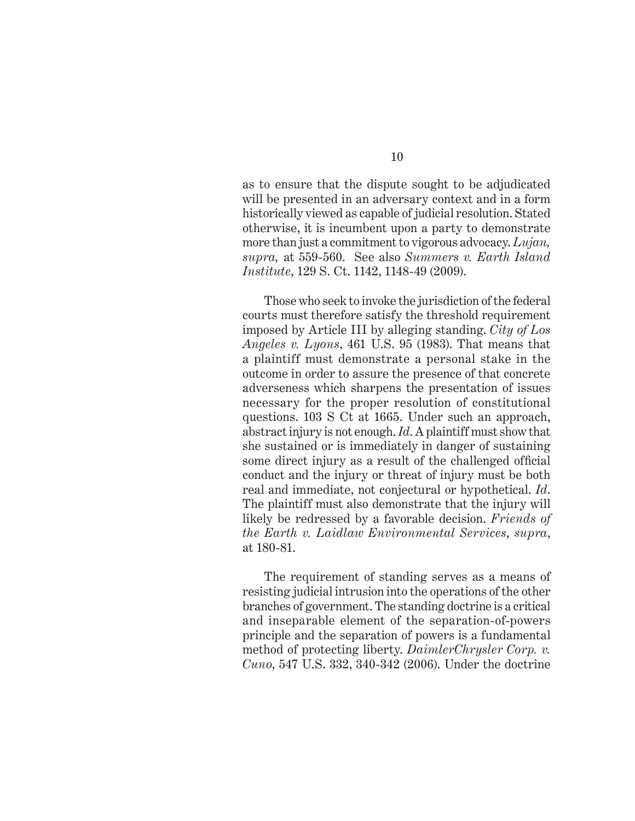as to ensure that the dispute sought to be adjudicated will be presented in an adversary context and in a form historically viewed as capable of judicial resolution. Stated otherwise, it is incumbent upon a party to demonstrate more than just a commitment to vigorous advocacy. *Lujan, supra,* at 559-560. See also *Summers v. Earth Island Institute*, 129 S. Ct. 1142, 1148-49 (2009).

Those who seek to invoke the jurisdiction of the federal courts must therefore satisfy the threshold requirement imposed by Article III by alleging standing. *City of Los Angeles v. Lyons*, 461 U.S. 95 (1983). That means that a plaintiff must demonstrate a personal stake in the outcome in order to assure the presence of that concrete adverseness which sharpens the presentation of issues necessary for the proper resolution of constitutional questions. 103 S Ct at 1665. Under such an approach, abstract injury is not enough. *Id*. A plaintiff must show that she sustained or is immediately in danger of sustaining some direct injury as a result of the challenged official conduct and the injury or threat of injury must be both real and immediate, not conjectural or hypothetical. *Id*. The plaintiff must also demonstrate that the injury will likely be redressed by a favorable decision. *Friends of the Earth v. Laidlaw Environmental Services*, *supra*, at 180-81.

The requirement of standing serves as a means of resisting judicial intrusion into the operations of the other branches of government. The standing doctrine is a critical and inseparable element of the separation-of-powers principle and the separation of powers is a fundamental method of protecting liberty. *DaimlerChrysler Corp. v. Cuno*, 547 U.S. 332, 340-342 (2006). Under the doctrine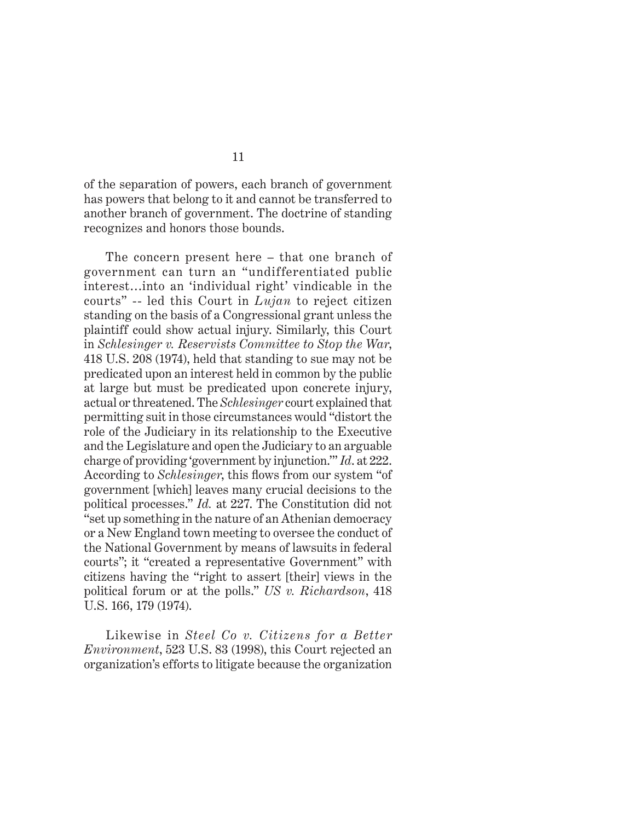of the separation of powers, each branch of government has powers that belong to it and cannot be transferred to another branch of government. The doctrine of standing recognizes and honors those bounds.

The concern present here – that one branch of government can turn an "undifferentiated public interest…into an 'individual right' vindicable in the courts" -- led this Court in *Lujan* to reject citizen standing on the basis of a Congressional grant unless the plaintiff could show actual injury. Similarly, this Court in *Schlesinger v. Reservists Committee to Stop the War*, 418 U.S. 208 (1974), held that standing to sue may not be predicated upon an interest held in common by the public at large but must be predicated upon concrete injury, actual or threatened. The *Schlesinger* court explained that permitting suit in those circumstances would "distort the role of the Judiciary in its relationship to the Executive and the Legislature and open the Judiciary to an arguable charge of providing 'government by injunction.'" *Id*. at 222. According to *Schlesinger*, this flows from our system "of government [which] leaves many crucial decisions to the political processes." *Id.* at 227. The Constitution did not "set up something in the nature of an Athenian democracy or a New England town meeting to oversee the conduct of the National Government by means of lawsuits in federal courts"; it "created a representative Government" with citizens having the "right to assert [their] views in the political forum or at the polls." *US v. Richardson*, 418 U.S. 166, 179 (1974).

Likewise in *Steel Co v. Citizens for a Better Environment*, 523 U.S. 83 (1998), this Court rejected an organization's efforts to litigate because the organization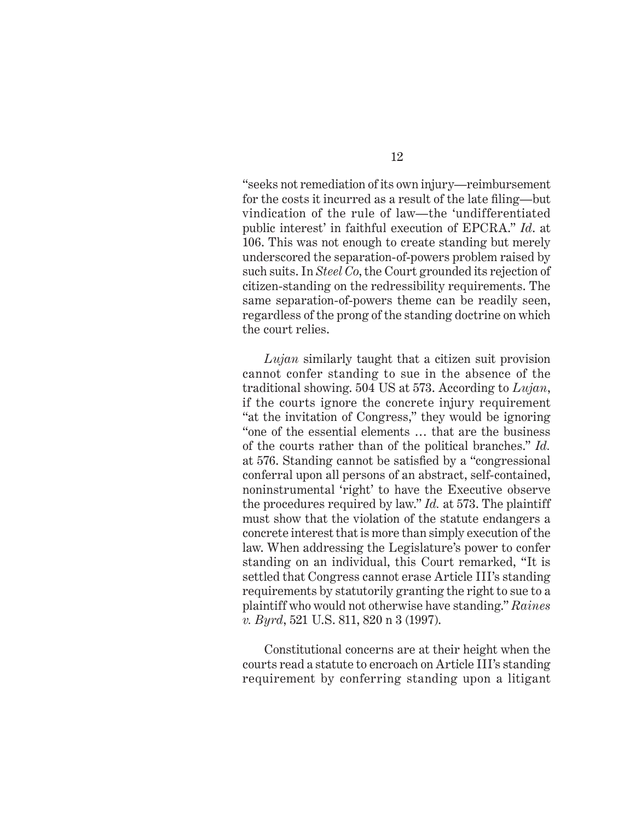"seeks not remediation of its own injury—reimbursement for the costs it incurred as a result of the late filing—but vindication of the rule of law—the 'undifferentiated public interest' in faithful execution of EPCRA." *Id*. at 106. This was not enough to create standing but merely underscored the separation-of-powers problem raised by such suits. In *Steel Co*, the Court grounded its rejection of citizen-standing on the redressibility requirements. The same separation-of-powers theme can be readily seen, regardless of the prong of the standing doctrine on which the court relies.

*Lujan* similarly taught that a citizen suit provision cannot confer standing to sue in the absence of the traditional showing. 504 US at 573. According to *Lujan*, if the courts ignore the concrete injury requirement "at the invitation of Congress," they would be ignoring "one of the essential elements … that are the business of the courts rather than of the political branches." *Id.*  at 576. Standing cannot be satisfied by a "congressional" conferral upon all persons of an abstract, self-contained, noninstrumental 'right' to have the Executive observe the procedures required by law." *Id.* at 573. The plaintiff must show that the violation of the statute endangers a concrete interest that is more than simply execution of the law. When addressing the Legislature's power to confer standing on an individual, this Court remarked, "It is settled that Congress cannot erase Article III's standing requirements by statutorily granting the right to sue to a plaintiff who would not otherwise have standing." *Raines v. Byrd*, 521 U.S. 811, 820 n 3 (1997).

Constitutional concerns are at their height when the courts read a statute to encroach on Article III's standing requirement by conferring standing upon a litigant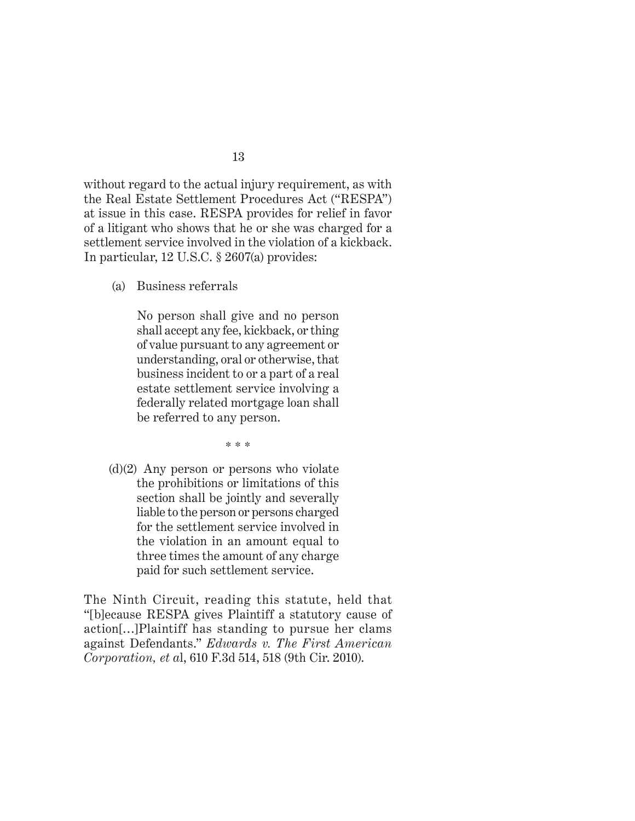without regard to the actual injury requirement, as with the Real Estate Settlement Procedures Act ("RESPA") at issue in this case. RESPA provides for relief in favor of a litigant who shows that he or she was charged for a settlement service involved in the violation of a kickback. In particular, 12 U.S.C. § 2607(a) provides:

(a) Business referrals

No person shall give and no person shall accept any fee, kickback, or thing of value pursuant to any agreement or understanding, oral or otherwise, that business incident to or a part of a real estate settlement service involving a federally related mortgage loan shall be referred to any person.

\* \* \*

(d)(2) Any person or persons who violate the prohibitions or limitations of this section shall be jointly and severally liable to the person or persons charged for the settlement service involved in the violation in an amount equal to three times the amount of any charge paid for such settlement service.

The Ninth Circuit, reading this statute, held that "[b]ecause RESPA gives Plaintiff a statutory cause of action[…]Plaintiff has standing to pursue her clams against Defendants." *Edwards v. The First American Corporation, et a*l, 610 F.3d 514, 518 (9th Cir. 2010).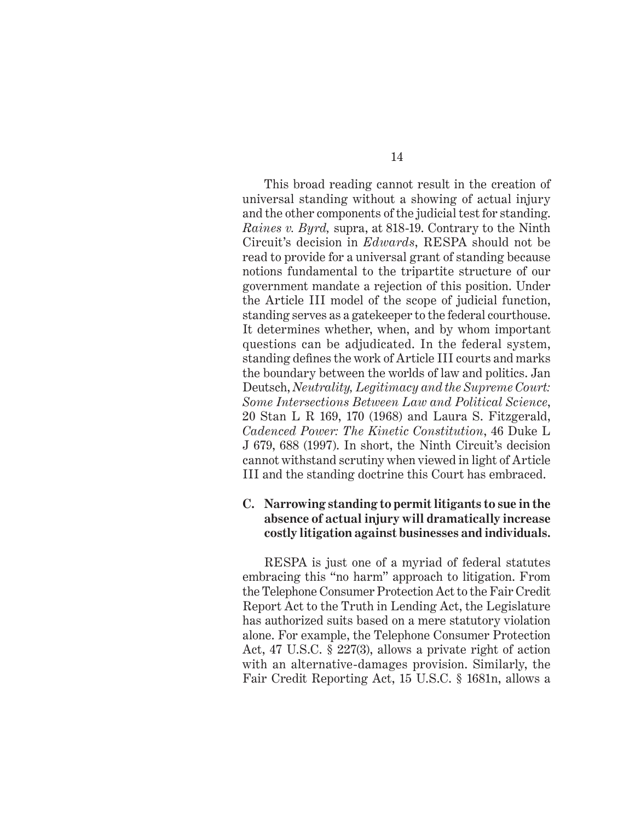This broad reading cannot result in the creation of universal standing without a showing of actual injury and the other components of the judicial test for standing. *Raines v. Byrd,* supra, at 818-19. Contrary to the Ninth Circuit's decision in *Edwards*, RESPA should not be read to provide for a universal grant of standing because notions fundamental to the tripartite structure of our government mandate a rejection of this position. Under the Article III model of the scope of judicial function, standing serves as a gatekeeper to the federal courthouse. It determines whether, when, and by whom important questions can be adjudicated. In the federal system, standing defines the work of Article III courts and marks the boundary between the worlds of law and politics. Jan Deutsch, *Neutrality, Legitimacy and the Supreme Court: Some Intersections Between Law and Political Science*, 20 Stan L R 169, 170 (1968) and Laura S. Fitzgerald, *Cadenced Power: The Kinetic Constitution*, 46 Duke L J 679, 688 (1997). In short, the Ninth Circuit's decision cannot withstand scrutiny when viewed in light of Article III and the standing doctrine this Court has embraced.

#### **C. Narrowing standing to permit litigants to sue in the absence of actual injury will dramatically increase costly litigation against businesses and individuals.**

RESPA is just one of a myriad of federal statutes embracing this "no harm" approach to litigation. From the Telephone Consumer Protection Act to the Fair Credit Report Act to the Truth in Lending Act, the Legislature has authorized suits based on a mere statutory violation alone. For example, the Telephone Consumer Protection Act, 47 U.S.C. § 227(3), allows a private right of action with an alternative-damages provision. Similarly, the Fair Credit Reporting Act, 15 U.S.C. § 1681n, allows a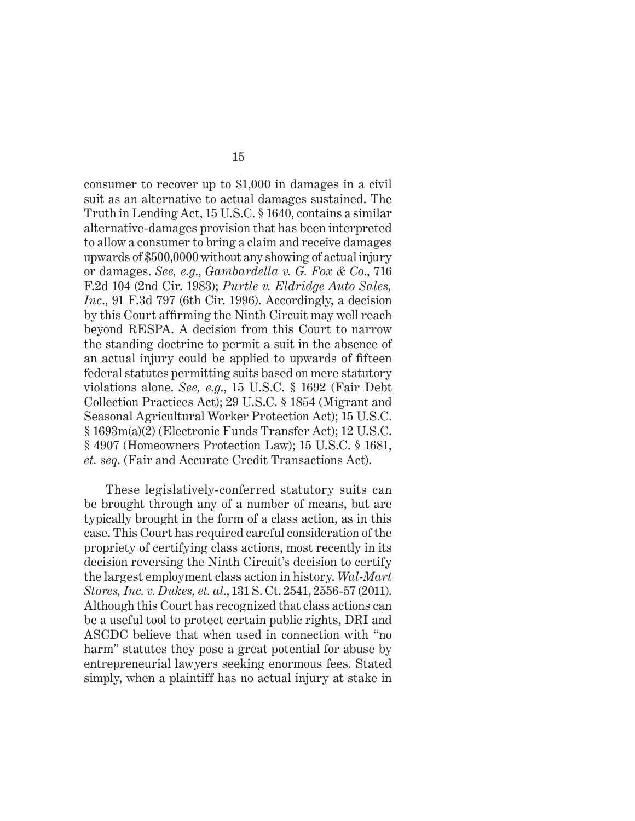consumer to recover up to \$1,000 in damages in a civil suit as an alternative to actual damages sustained. The Truth in Lending Act, 15 U.S.C. § 1640, contains a similar alternative-damages provision that has been interpreted to allow a consumer to bring a claim and receive damages upwards of \$500,0000 without any showing of actual injury or damages. *See, e.g*., *Gambardella v. G. Fox & Co*., 716 F.2d 104 (2nd Cir. 1983); *Purtle v. Eldridge Auto Sales, Inc*., 91 F.3d 797 (6th Cir. 1996). Accordingly, a decision by this Court affirming the Ninth Circuit may well reach beyond RESPA. A decision from this Court to narrow the standing doctrine to permit a suit in the absence of an actual injury could be applied to upwards of fifteen federal statutes permitting suits based on mere statutory violations alone. *See, e.g*., 15 U.S.C. § 1692 (Fair Debt Collection Practices Act); 29 U.S.C. § 1854 (Migrant and Seasonal Agricultural Worker Protection Act); 15 U.S.C. § 1693m(a)(2) (Electronic Funds Transfer Act); 12 U.S.C. § 4907 (Homeowners Protection Law); 15 U.S.C. § 1681, *et. seq*. (Fair and Accurate Credit Transactions Act).

These legislatively-conferred statutory suits can be brought through any of a number of means, but are typically brought in the form of a class action, as in this case. This Court has required careful consideration of the propriety of certifying class actions, most recently in its decision reversing the Ninth Circuit's decision to certify the largest employment class action in history. *Wal-Mart Stores, Inc. v. Dukes, et. al*., 131 S. Ct. 2541, 2556-57 (2011). Although this Court has recognized that class actions can be a useful tool to protect certain public rights, DRI and ASCDC believe that when used in connection with "no harm" statutes they pose a great potential for abuse by entrepreneurial lawyers seeking enormous fees. Stated simply, when a plaintiff has no actual injury at stake in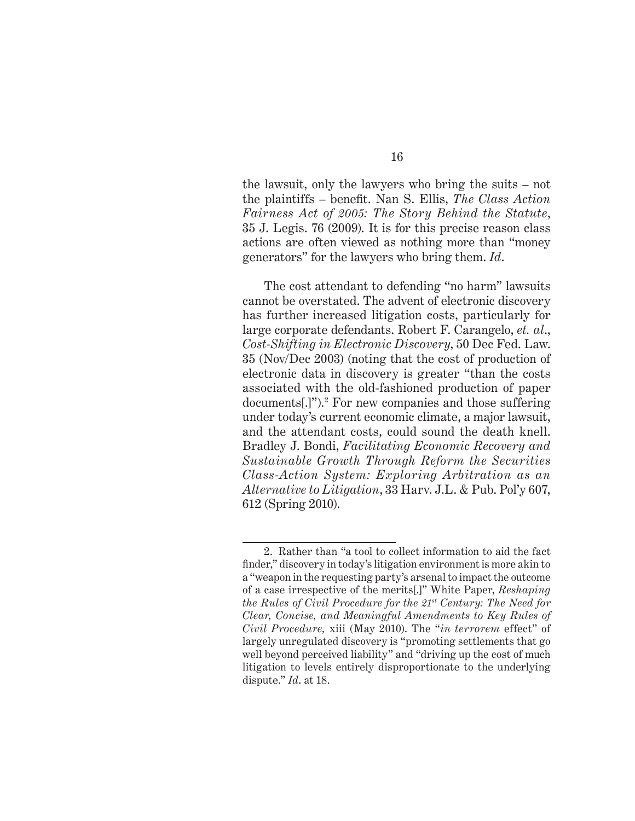the lawsuit, only the lawyers who bring the suits – not the plaintiffs – benefit. Nan S. Ellis, *The Class Action Fairness Act of 2005: The Story Behind the Statute*, 35 J. Legis. 76 (2009). It is for this precise reason class actions are often viewed as nothing more than "money generators" for the lawyers who bring them. *Id*.

The cost attendant to defending "no harm" lawsuits cannot be overstated. The advent of electronic discovery has further increased litigation costs, particularly for large corporate defendants. Robert F. Carangelo, *et. al*., *Cost-Shifting in Electronic Discovery*, 50 Dec Fed. Law. 35 (Nov/Dec 2003) (noting that the cost of production of electronic data in discovery is greater "than the costs associated with the old-fashioned production of paper documents[.]").2 For new companies and those suffering under today's current economic climate, a major lawsuit, and the attendant costs, could sound the death knell. Bradley J. Bondi, *Facilitating Economic Recovery and Sustainable Growth Through Reform the Securities Class-Action System: Exploring Arbitration as an Alternative to Litigation*, 33 Harv. J.L. & Pub. Pol'y 607, 612 (Spring 2010).

<sup>2.</sup> Rather than "a tool to collect information to aid the fact finder," discovery in today's litigation environment is more akin to a "weapon in the requesting party's arsenal to impact the outcome of a case irrespective of the merits[.]" White Paper, *Reshaping the Rules of Civil Procedure for the 21st Century: The Need for Clear, Concise, and Meaningful Amendments to Key Rules of Civil Procedure,* xiii (May 2010). The "*in terrorem* effect" of largely unregulated discovery is "promoting settlements that go well beyond perceived liability" and "driving up the cost of much litigation to levels entirely disproportionate to the underlying dispute." *Id*. at 18.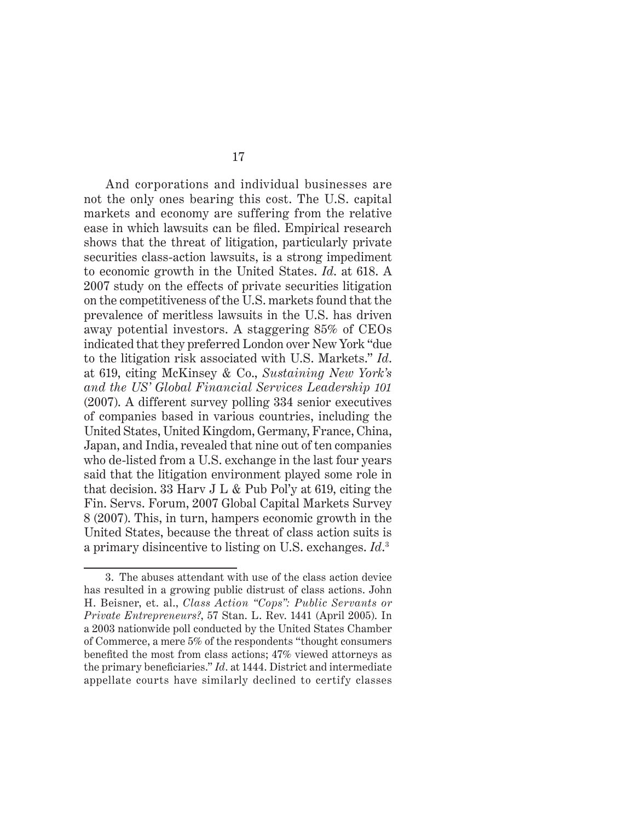And corporations and individual businesses are not the only ones bearing this cost. The U.S. capital markets and economy are suffering from the relative ease in which lawsuits can be filed. Empirical research shows that the threat of litigation, particularly private securities class-action lawsuits, is a strong impediment to economic growth in the United States. *Id*. at 618. A 2007 study on the effects of private securities litigation on the competitiveness of the U.S. markets found that the prevalence of meritless lawsuits in the U.S. has driven away potential investors. A staggering 85% of CEOs indicated that they preferred London over New York "due to the litigation risk associated with U.S. Markets." *Id*. at 619, citing McKinsey & Co., *Sustaining New York's and the US' Global Financial Services Leadership 101* (2007). A different survey polling 334 senior executives of companies based in various countries, including the United States, United Kingdom, Germany, France, China, Japan, and India, revealed that nine out of ten companies who de-listed from a U.S. exchange in the last four years said that the litigation environment played some role in that decision. 33 Harv J L & Pub Pol'y at 619, citing the Fin. Servs. Forum, 2007 Global Capital Markets Survey 8 (2007). This, in turn, hampers economic growth in the United States, because the threat of class action suits is a primary disincentive to listing on U.S. exchanges. *Id*. 3

<sup>3.</sup> The abuses attendant with use of the class action device has resulted in a growing public distrust of class actions. John H. Beisner, et. al., *Class Action "Cops": Public Servants or Private Entrepreneurs?*, 57 Stan. L. Rev. 1441 (April 2005). In a 2003 nationwide poll conducted by the United States Chamber of Commerce, a mere 5% of the respondents "thought consumers benefited the most from class actions; 47% viewed attorneys as the primary beneficiaries." *Id.* at 1444. District and intermediate appellate courts have similarly declined to certify classes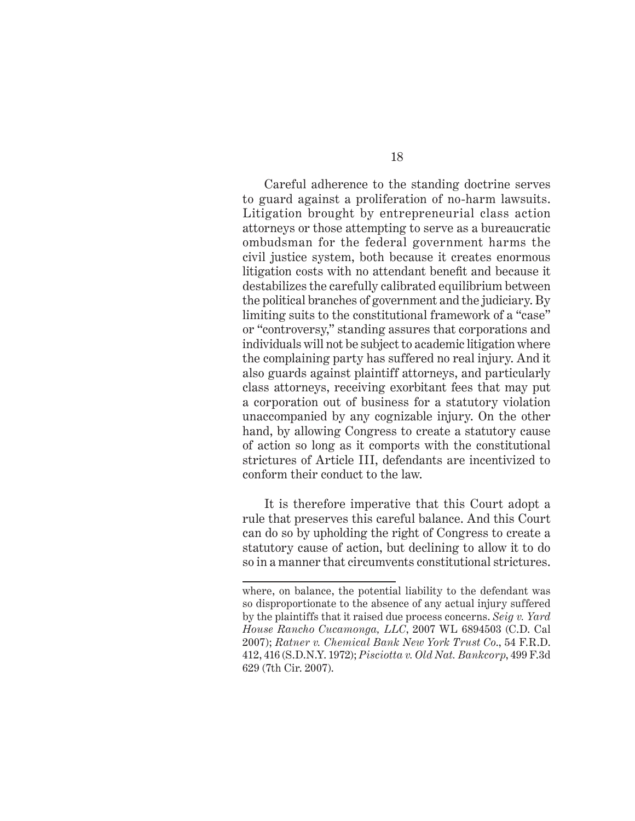Careful adherence to the standing doctrine serves to guard against a proliferation of no-harm lawsuits. Litigation brought by entrepreneurial class action attorneys or those attempting to serve as a bureaucratic ombudsman for the federal government harms the civil justice system, both because it creates enormous litigation costs with no attendant benefit and because it destabilizes the carefully calibrated equilibrium between the political branches of government and the judiciary. By limiting suits to the constitutional framework of a "case" or "controversy," standing assures that corporations and individuals will not be subject to academic litigation where the complaining party has suffered no real injury. And it also guards against plaintiff attorneys, and particularly class attorneys, receiving exorbitant fees that may put a corporation out of business for a statutory violation unaccompanied by any cognizable injury. On the other hand, by allowing Congress to create a statutory cause of action so long as it comports with the constitutional strictures of Article III, defendants are incentivized to conform their conduct to the law.

It is therefore imperative that this Court adopt a rule that preserves this careful balance. And this Court can do so by upholding the right of Congress to create a statutory cause of action, but declining to allow it to do so in a manner that circumvents constitutional strictures.

where, on balance, the potential liability to the defendant was so disproportionate to the absence of any actual injury suffered by the plaintiffs that it raised due process concerns. *Seig v. Yard House Rancho Cucamonga, LLC*, 2007 WL 6894503 (C.D. Cal 2007); *Ratner v. Chemical Bank New York Trust Co*., 54 F.R.D. 412, 416 (S.D.N.Y. 1972); *Pisciotta v. Old Nat. Bankcorp*, 499 F.3d 629 (7th Cir. 2007).